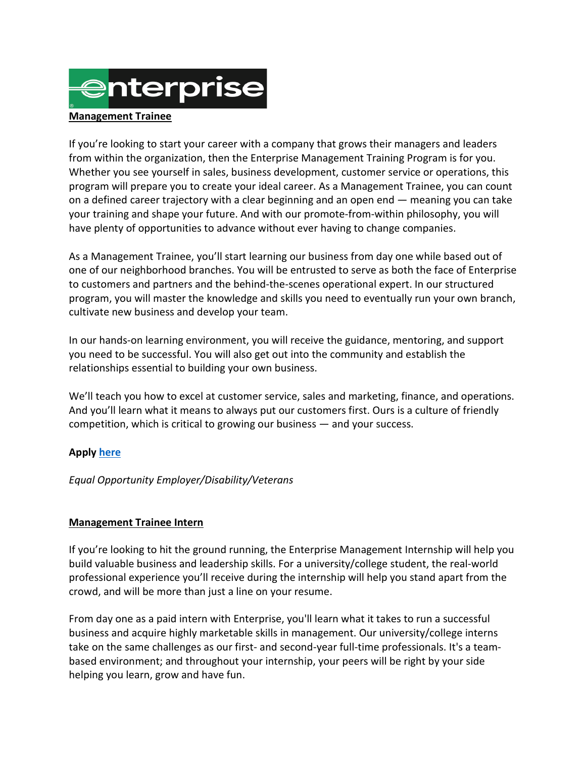

## **Management Trainee**

If you're looking to start your career with a company that grows their managers and leaders from within the organization, then the Enterprise Management Training Program is for you. Whether you see yourself in sales, business development, customer service or operations, this program will prepare you to create your ideal career. As a Management Trainee, you can count on a defined career trajectory with a clear beginning and an open end — meaning you can take your training and shape your future. And with our promote-from-within philosophy, you will have plenty of opportunities to advance without ever having to change companies.

As a Management Trainee, you'll start learning our business from day one while based out of one of our neighborhood branches. You will be entrusted to serve as both the face of Enterprise to customers and partners and the behind-the-scenes operational expert. In our structured program, you will master the knowledge and skills you need to eventually run your own branch, cultivate new business and develop your team.

In our hands-on learning environment, you will receive the guidance, mentoring, and support you need to be successful. You will also get out into the community and establish the relationships essential to building your own business.

We'll teach you how to excel at customer service, sales and marketing, finance, and operations. And you'll learn what it means to always put our customers first. Ours is a culture of friendly competition, which is critical to growing our business — and your success.

## **Apply [here](https://careers.enterprise.com/?utm_source=enactus.org&utm_medium=job_posting&utm_campaign=Management_Trainee_Program&utm_content=niche_site&utm_term=281033814&ss=paid&dclid=CMKtxK-lxusCFVdScgoddIUBiA)**

## *Equal Opportunity Employer/Disability/Veterans*

## **Management Trainee Intern**

If you're looking to hit the ground running, the Enterprise Management Internship will help you build valuable business and leadership skills. For a university/college student, the real-world professional experience you'll receive during the internship will help you stand apart from the crowd, and will be more than just a line on your resume.

From day one as a paid intern with Enterprise, you'll learn what it takes to run a successful business and acquire highly marketable skills in management. Our university/college interns take on the same challenges as our first- and second-year full-time professionals. It's a teambased environment; and throughout your internship, your peers will be right by your side helping you learn, grow and have fun.